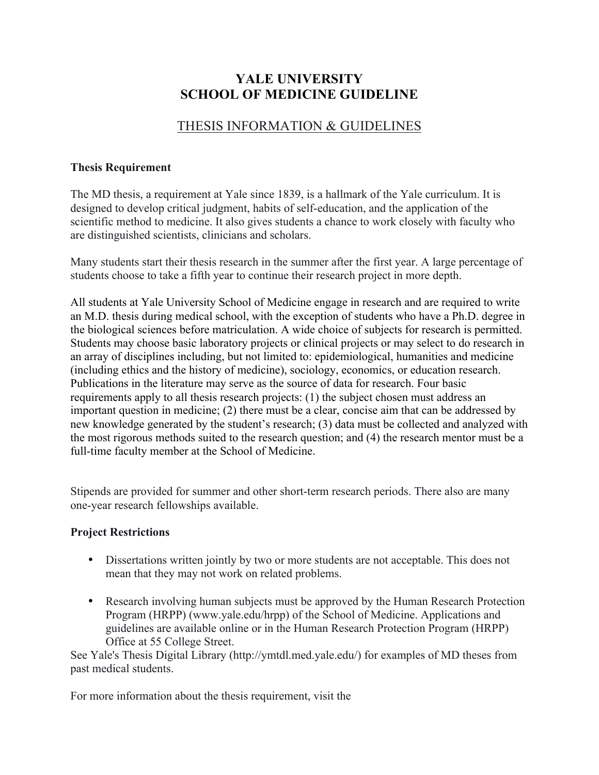# **YALE UNIVERSITY SCHOOL OF MEDICINE GUIDELINE**

# THESIS INFORMATION & GUIDELINES

### **Thesis Requirement**

The MD thesis, a requirement at Yale since 1839, is a hallmark of the Yale curriculum. It is designed to develop critical judgment, habits of self-education, and the application of the scientific method to medicine. It also gives students a chance to work closely with faculty who are distinguished scientists, clinicians and scholars.

Many students start their thesis research in the summer after the first year. A large percentage of students choose to take a fifth year to continue their research project in more depth.

All students at Yale University School of Medicine engage in research and are required to write an M.D. thesis during medical school, with the exception of students who have a Ph.D. degree in the biological sciences before matriculation. A wide choice of subjects for research is permitted. Students may choose basic laboratory projects or clinical projects or may select to do research in an array of disciplines including, but not limited to: epidemiological, humanities and medicine (including ethics and the history of medicine), sociology, economics, or education research. Publications in the literature may serve as the source of data for research. Four basic requirements apply to all thesis research projects: (1) the subject chosen must address an important question in medicine; (2) there must be a clear, concise aim that can be addressed by new knowledge generated by the student's research; (3) data must be collected and analyzed with the most rigorous methods suited to the research question; and (4) the research mentor must be a full-time faculty member at the School of Medicine.

Stipends are provided for summer and other short-term research periods. There also are many one-year research fellowships available.

## **Project Restrictions**

- Dissertations written jointly by two or more students are not acceptable. This does not mean that they may not work on related problems.
- Research involving human subjects must be approved by the Human Research Protection Program (HRPP) (www.yale.edu/hrpp) of the School of Medicine. Applications and guidelines are available online or in the Human Research Protection Program (HRPP) Office at 55 College Street.

See Yale's Thesis Digital Library (http://ymtdl.med.yale.edu/) for examples of MD theses from past medical students.

For more information about the thesis requirement, visit the